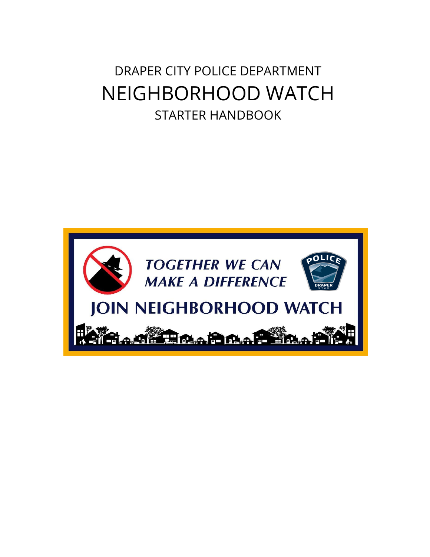DRAPER CITY POLICE DEPARTMENT NEIGHBORHOOD WATCH STARTER HANDBOOK

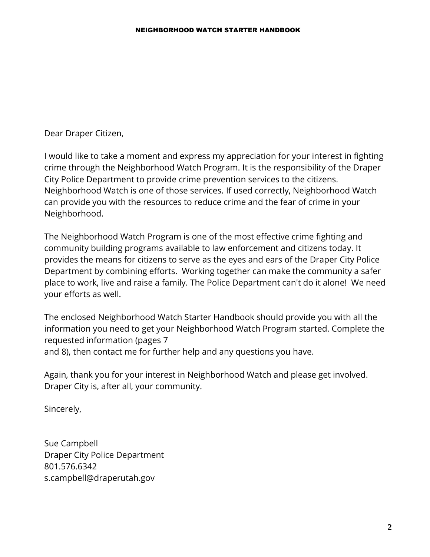Dear Draper Citizen,

I would like to take a moment and express my appreciation for your interest in fighting crime through the Neighborhood Watch Program. It is the responsibility of the Draper City Police Department to provide crime prevention services to the citizens. Neighborhood Watch is one of those services. If used correctly, Neighborhood Watch can provide you with the resources to reduce crime and the fear of crime in your Neighborhood.

The Neighborhood Watch Program is one of the most effective crime fighting and community building programs available to law enforcement and citizens today. It provides the means for citizens to serve as the eyes and ears of the Draper City Police Department by combining efforts. Working together can make the community a safer place to work, live and raise a family. The Police Department can't do it alone! We need your efforts as well.

The enclosed Neighborhood Watch Starter Handbook should provide you with all the information you need to get your Neighborhood Watch Program started. Complete the requested information (pages 7 and 8), then contact me for further help and any questions you have.

Again, thank you for your interest in Neighborhood Watch and please get involved. Draper City is, after all, your community.

Sincerely,

Sue Campbell Draper City Police Department 801.576.6342 s.campbell@draperutah.gov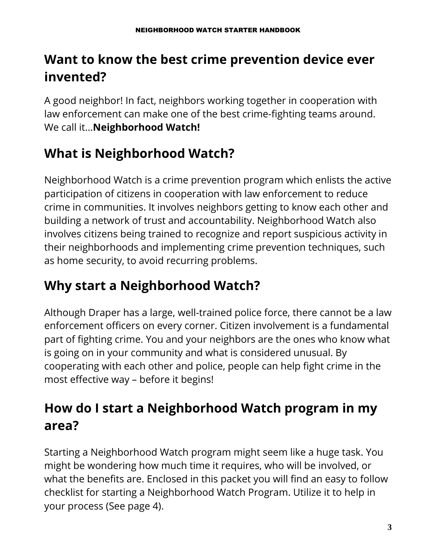# **Want to know the best crime prevention device ever invented?**

A good neighbor! In fact, neighbors working together in cooperation with law enforcement can make one of the best crime-fighting teams around. We call it...**Neighborhood Watch!**

# **What is Neighborhood Watch?**

Neighborhood Watch is a crime prevention program which enlists the active participation of citizens in cooperation with law enforcement to reduce crime in communities. It involves neighbors getting to know each other and building a network of trust and accountability. Neighborhood Watch also involves citizens being trained to recognize and report suspicious activity in their neighborhoods and implementing crime prevention techniques, such as home security, to avoid recurring problems.

# **Why start a Neighborhood Watch?**

Although Draper has a large, well-trained police force, there cannot be a law enforcement officers on every corner. Citizen involvement is a fundamental part of fighting crime. You and your neighbors are the ones who know what is going on in your community and what is considered unusual. By cooperating with each other and police, people can help fight crime in the most effective way – before it begins!

# **How do I start a Neighborhood Watch program in my area?**

Starting a Neighborhood Watch program might seem like a huge task. You might be wondering how much time it requires, who will be involved, or what the benefits are. Enclosed in this packet you will find an easy to follow checklist for starting a Neighborhood Watch Program. Utilize it to help in your process (See page 4).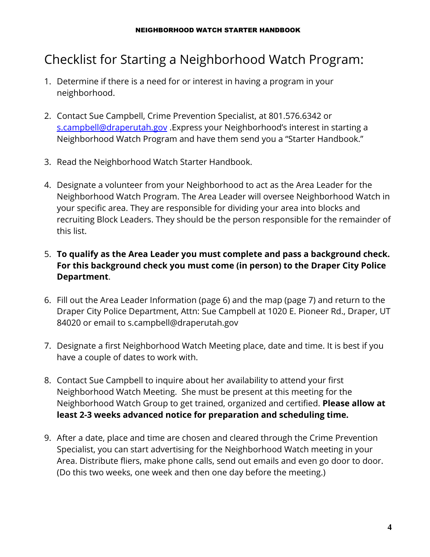## Checklist for Starting a Neighborhood Watch Program:

- 1. Determine if there is a need for or interest in having a program in your neighborhood.
- 2. Contact Sue Campbell, Crime Prevention Specialist, at 801.576.6342 or [s.campbell@draperutah.gov](mailto:s.campbell@draperutah.gov) .Express your Neighborhood's interest in starting a Neighborhood Watch Program and have them send you a "Starter Handbook."
- 3. Read the Neighborhood Watch Starter Handbook.
- 4. Designate a volunteer from your Neighborhood to act as the Area Leader for the Neighborhood Watch Program. The Area Leader will oversee Neighborhood Watch in your specific area. They are responsible for dividing your area into blocks and recruiting Block Leaders. They should be the person responsible for the remainder of this list.
- 5. **To qualify as the Area Leader you must complete and pass a background check. For this background check you must come (in person) to the Draper City Police Department**.
- 6. Fill out the Area Leader Information (page 6) and the map (page 7) and return to the Draper City Police Department, Attn: Sue Campbell at 1020 E. Pioneer Rd., Draper, UT 84020 or email to s.campbell@draperutah.gov
- 7. Designate a first Neighborhood Watch Meeting place, date and time. It is best if you have a couple of dates to work with.
- 8. Contact Sue Campbell to inquire about her availability to attend your first Neighborhood Watch Meeting. She must be present at this meeting for the Neighborhood Watch Group to get trained, organized and certified. **Please allow at least 2-3 weeks advanced notice for preparation and scheduling time.**
- 9. After a date, place and time are chosen and cleared through the Crime Prevention Specialist, you can start advertising for the Neighborhood Watch meeting in your Area. Distribute fliers, make phone calls, send out emails and even go door to door. (Do this two weeks, one week and then one day before the meeting.)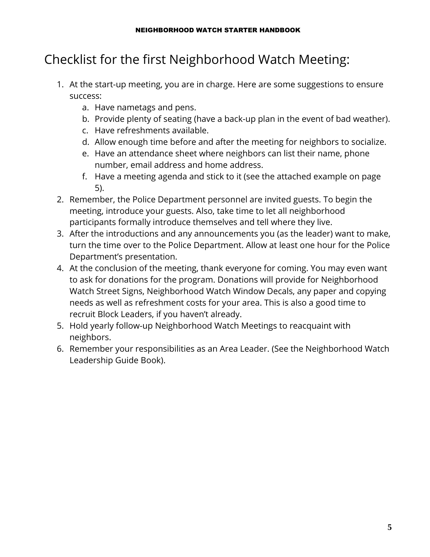# Checklist for the first Neighborhood Watch Meeting:

- 1. At the start-up meeting, you are in charge. Here are some suggestions to ensure success:
	- a. Have nametags and pens.
	- b. Provide plenty of seating (have a back-up plan in the event of bad weather).
	- c. Have refreshments available.
	- d. Allow enough time before and after the meeting for neighbors to socialize.
	- e. Have an attendance sheet where neighbors can list their name, phone number, email address and home address.
	- f. Have a meeting agenda and stick to it (see the attached example on page 5).
- 2. Remember, the Police Department personnel are invited guests. To begin the meeting, introduce your guests. Also, take time to let all neighborhood participants formally introduce themselves and tell where they live.
- 3. After the introductions and any announcements you (as the leader) want to make, turn the time over to the Police Department. Allow at least one hour for the Police Department's presentation.
- 4. At the conclusion of the meeting, thank everyone for coming. You may even want to ask for donations for the program. Donations will provide for Neighborhood Watch Street Signs, Neighborhood Watch Window Decals, any paper and copying needs as well as refreshment costs for your area. This is also a good time to recruit Block Leaders, if you haven't already.
- 5. Hold yearly follow-up Neighborhood Watch Meetings to reacquaint with neighbors.
- 6. Remember your responsibilities as an Area Leader. (See the Neighborhood Watch Leadership Guide Book).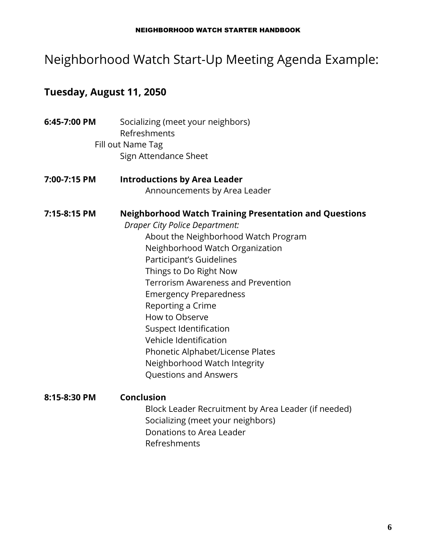### Neighborhood Watch Start-Up Meeting Agenda Example:

### **Tuesday, August 11, 2050**

- **6:45-7:00 PM** Socializing (meet your neighbors) Refreshments Fill out Name Tag Sign Attendance Sheet
- **7:00-7:15 PM Introductions by Area Leader** Announcements by Area Leader

**7:15-8:15 PM Neighborhood Watch Training Presentation and Questions** *Draper City Police Department:*

About the Neighborhood Watch Program Neighborhood Watch Organization Participant's Guidelines Things to Do Right Now Terrorism Awareness and Prevention Emergency Preparedness Reporting a Crime How to Observe Suspect Identification Vehicle Identification Phonetic Alphabet/License Plates Neighborhood Watch Integrity Questions and Answers

**8:15-8:30 PM Conclusion** Block Leader Recruitment by Area Leader (if needed) Socializing (meet your neighbors) Donations to Area Leader Refreshments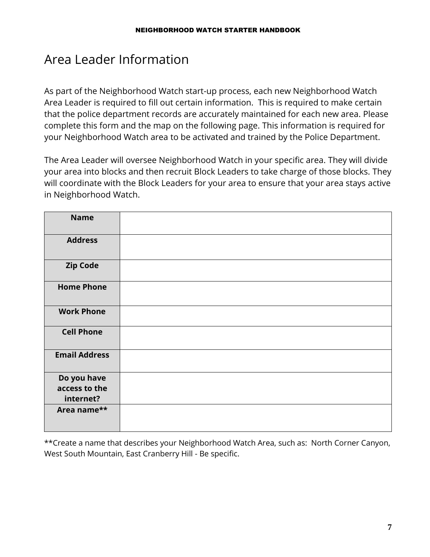### Area Leader Information

As part of the Neighborhood Watch start-up process, each new Neighborhood Watch Area Leader is required to fill out certain information. This is required to make certain that the police department records are accurately maintained for each new area. Please complete this form and the map on the following page. This information is required for your Neighborhood Watch area to be activated and trained by the Police Department.

The Area Leader will oversee Neighborhood Watch in your specific area. They will divide your area into blocks and then recruit Block Leaders to take charge of those blocks. They will coordinate with the Block Leaders for your area to ensure that your area stays active in Neighborhood Watch.

| <b>Name</b>          |  |
|----------------------|--|
| <b>Address</b>       |  |
| <b>Zip Code</b>      |  |
| <b>Home Phone</b>    |  |
| <b>Work Phone</b>    |  |
| <b>Cell Phone</b>    |  |
| <b>Email Address</b> |  |
| Do you have          |  |
| access to the        |  |
| internet?            |  |
| Area name**          |  |

\*\*Create a name that describes your Neighborhood Watch Area, such as: North Corner Canyon, West South Mountain, East Cranberry Hill - Be specific.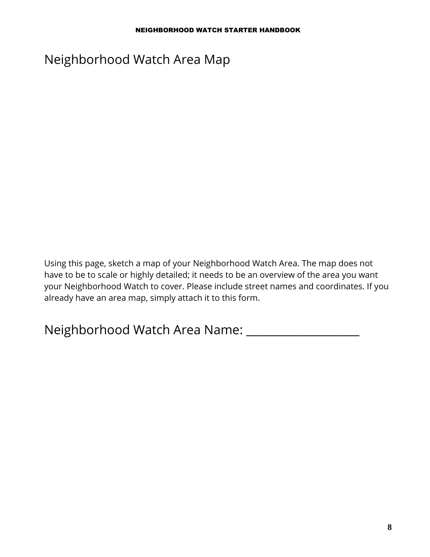### Neighborhood Watch Area Map

Using this page, sketch a map of your Neighborhood Watch Area. The map does not have to be to scale or highly detailed; it needs to be an overview of the area you want your Neighborhood Watch to cover. Please include street names and coordinates. If you already have an area map, simply attach it to this form.

Neighborhood Watch Area Name: \_\_\_\_\_\_\_\_\_\_\_\_\_\_\_\_\_\_\_\_